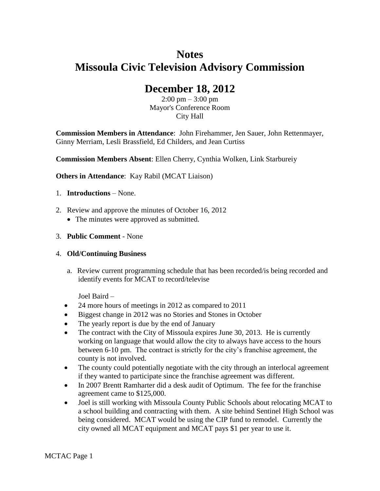# **Notes Missoula Civic Television Advisory Commission**

# **December 18, 2012**

 $2:00 \text{ pm} - 3:00 \text{ pm}$ Mayor's Conference Room City Hall

**Commission Members in Attendance**: John Firehammer, Jen Sauer, John Rettenmayer, Ginny Merriam, Lesli Brassfield, Ed Childers, and Jean Curtiss

**Commission Members Absent**: Ellen Cherry, Cynthia Wolken, Link Starbureiy

**Others in Attendance**: Kay Rabil (MCAT Liaison)

- 1. **Introductions** None.
- 2. Review and approve the minutes of October 16, 2012
	- The minutes were approved as submitted.
- 3. **Public Comment** None

### 4. **Old/Continuing Business**

a. Review current programming schedule that has been recorded/is being recorded and identify events for MCAT to record/televise

Joel Baird –

- 24 more hours of meetings in 2012 as compared to 2011
- Biggest change in 2012 was no Stories and Stones in October
- The yearly report is due by the end of January
- The contract with the City of Missoula expires June 30, 2013. He is currently working on language that would allow the city to always have access to the hours between 6-10 pm. The contract is strictly for the city's franchise agreement, the county is not involved.
- The county could potentially negotiate with the city through an interlocal agreement if they wanted to participate since the franchise agreement was different.
- In 2007 Brentt Ramharter did a desk audit of Optimum. The fee for the franchise agreement came to \$125,000.
- Joel is still working with Missoula County Public Schools about relocating MCAT to a school building and contracting with them. A site behind Sentinel High School was being considered. MCAT would be using the CIP fund to remodel. Currently the city owned all MCAT equipment and MCAT pays \$1 per year to use it.